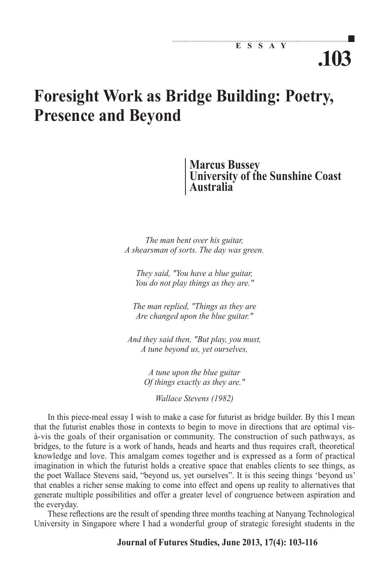# **.103**

# **Foresight Work as Bridge Building: Poetry, Presence and Beyond**

**Marcus Bussey University of the Sunshine Coast Australia**

*The man bent over his guitar, A shearsman of sorts. The day was green.*

*They said, "You have a blue guitar, You do not play things as they are."*

*The man replied, "Things as they are Are changed upon the blue guitar."*

*And they said then, "But play, you must, A tune beyond us, yet ourselves,*

> *A tune upon the blue guitar Of things exactly as they are."*

> > *Wallace Stevens (1982)*

In this piece-meal essay I wish to make a case for futurist as bridge builder. By this I mean that the futurist enables those in contexts to begin to move in directions that are optimal visà-vis the goals of their organisation or community. The construction of such pathways, as bridges, to the future is a work of hands, heads and hearts and thus requires craft, theoretical knowledge and love. This amalgam comes together and is expressed as a form of practical imagination in which the futurist holds a creative space that enables clients to see things, as the poet Wallace Stevens said, "beyond us, yet ourselves". It is this seeing things 'beyond us' that enables a richer sense making to come into effect and opens up reality to alternatives that generate multiple possibilities and offer a greater level of congruence between aspiration and the everyday.

These reflections are the result of spending three months teaching at Nanyang Technological University in Singapore where I had a wonderful group of strategic foresight students in the

#### **Journal of Futures Studies, June 2013, 17(4): 103-116**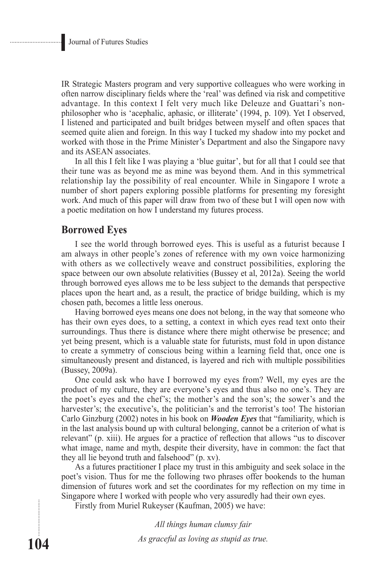IR Strategic Masters program and very supportive colleagues who were working in often narrow disciplinary fields where the 'real' was defined via risk and competitive advantage. In this context I felt very much like Deleuze and Guattari's nonphilosopher who is 'acephalic, aphasic, or illiterate' (1994, p. 109). Yet I observed, I listened and participated and built bridges between myself and often spaces that seemed quite alien and foreign. In this way I tucked my shadow into my pocket and worked with those in the Prime Minister's Department and also the Singapore navy and its ASEAN associates.

In all this I felt like I was playing a 'blue guitar', but for all that I could see that their tune was as beyond me as mine was beyond them. And in this symmetrical relationship lay the possibility of real encounter. While in Singapore I wrote a number of short papers exploring possible platforms for presenting my foresight work. And much of this paper will draw from two of these but I will open now with a poetic meditation on how I understand my futures process.

#### **Borrowed Eyes**

I see the world through borrowed eyes. This is useful as a futurist because I am always in other people's zones of reference with my own voice harmonizing with others as we collectively weave and construct possibilities, exploring the space between our own absolute relativities (Bussey et al, 2012a). Seeing the world through borrowed eyes allows me to be less subject to the demands that perspective places upon the heart and, as a result, the practice of bridge building, which is my chosen path, becomes a little less onerous.

Having borrowed eyes means one does not belong, in the way that someone who has their own eyes does, to a setting, a context in which eyes read text onto their surroundings. Thus there is distance where there might otherwise be presence; and yet being present, which is a valuable state for futurists, must fold in upon distance to create a symmetry of conscious being within a learning field that, once one is simultaneously present and distanced, is layered and rich with multiple possibilities (Bussey, 2009a).

One could ask who have I borrowed my eyes from? Well, my eyes are the product of my culture, they are everyone's eyes and thus also no one's. They are the poet's eyes and the chef's; the mother's and the son's; the sower's and the harvester's; the executive's, the politician's and the terrorist's too! The historian Carlo Ginzburg (2002) notes in his book on *Wooden Eyes* that "familiarity, which is in the last analysis bound up with cultural belonging, cannot be a criterion of what is relevant" (p. xiii). He argues for a practice of reflection that allows "us to discover what image, name and myth, despite their diversity, have in common: the fact that they all lie beyond truth and falsehood" (p. xv).

As a futures practitioner I place my trust in this ambiguity and seek solace in the poet's vision. Thus for me the following two phrases offer bookends to the human dimension of futures work and set the coordinates for my reflection on my time in Singapore where I worked with people who very assuredly had their own eyes.

Firstly from Muriel Rukeyser (Kaufman, 2005) we have:

*All things human clumsy fair*

*As graceful as loving as stupid as true.*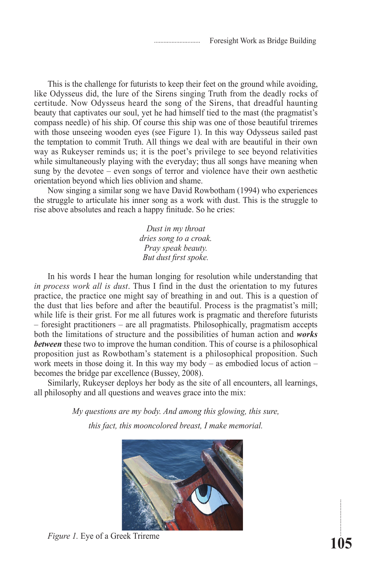This is the challenge for futurists to keep their feet on the ground while avoiding, like Odysseus did, the lure of the Sirens singing Truth from the deadly rocks of certitude. Now Odysseus heard the song of the Sirens, that dreadful haunting beauty that captivates our soul, yet he had himself tied to the mast (the pragmatist's compass needle) of his ship. Of course this ship was one of those beautiful triremes with those unseeing wooden eyes (see Figure 1). In this way Odysseus sailed past the temptation to commit Truth. All things we deal with are beautiful in their own way as Rukeyser reminds us; it is the poet's privilege to see beyond relativities while simultaneously playing with the everyday; thus all songs have meaning when sung by the devotee – even songs of terror and violence have their own aesthetic orientation beyond which lies oblivion and shame.

Now singing a similar song we have David Rowbotham (1994) who experiences the struggle to articulate his inner song as a work with dust. This is the struggle to rise above absolutes and reach a happy finitude. So he cries:

> *Dust in my throat dries song to a croak. Pray speak beauty. But dust first spoke.*

In his words I hear the human longing for resolution while understanding that *in process work all is dust*. Thus I find in the dust the orientation to my futures practice, the practice one might say of breathing in and out. This is a question of the dust that lies before and after the beautiful. Process is the pragmatist's mill; while life is their grist. For me all futures work is pragmatic and therefore futurists – foresight practitioners – are all pragmatists. Philosophically, pragmatism accepts both the limitations of structure and the possibilities of human action and *works between* these two to improve the human condition. This of course is a philosophical proposition just as Rowbotham's statement is a philosophical proposition. Such work meets in those doing it. In this way my body – as embodied locus of action – becomes the bridge par excellence (Bussey, 2008).

Similarly, Rukeyser deploys her body as the site of all encounters, all learnings, all philosophy and all questions and weaves grace into the mix:

> *My questions are my body. And among this glowing, this sure, this fact, this mooncolored breast, I make memorial.*



*Figure 1.* Eye of a Greek Trireme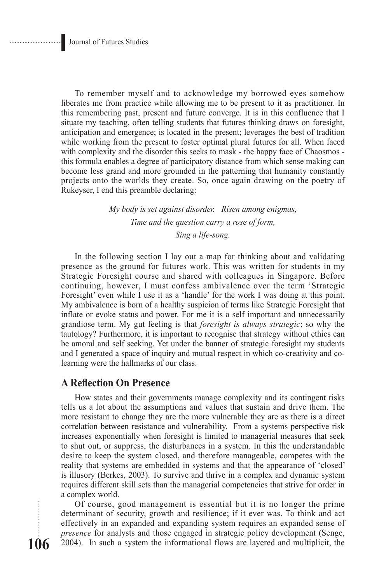To remember myself and to acknowledge my borrowed eyes somehow liberates me from practice while allowing me to be present to it as practitioner. In this remembering past, present and future converge. It is in this confluence that I situate my teaching, often telling students that futures thinking draws on foresight, anticipation and emergence; is located in the present; leverages the best of tradition while working from the present to foster optimal plural futures for all. When faced with complexity and the disorder this seeks to mask - the happy face of Chaosmos this formula enables a degree of participatory distance from which sense making can become less grand and more grounded in the patterning that humanity constantly projects onto the worlds they create. So, once again drawing on the poetry of Rukeyser, I end this preamble declaring:

> *My body is set against disorder. Risen among enigmas, Time and the question carry a rose of form, Sing a life-song.*

In the following section I lay out a map for thinking about and validating presence as the ground for futures work. This was written for students in my Strategic Foresight course and shared with colleagues in Singapore. Before continuing, however, I must confess ambivalence over the term 'Strategic Foresight' even while I use it as a 'handle' for the work I was doing at this point. My ambivalence is born of a healthy suspicion of terms like Strategic Foresight that inflate or evoke status and power. For me it is a self important and unnecessarily grandiose term. My gut feeling is that *foresight is always strategic*; so why the tautology? Furthermore, it is important to recognise that strategy without ethics can be amoral and self seeking. Yet under the banner of strategic foresight my students and I generated a space of inquiry and mutual respect in which co-creativity and colearning were the hallmarks of our class.

#### **A Reflection On Presence**

How states and their governments manage complexity and its contingent risks tells us a lot about the assumptions and values that sustain and drive them. The more resistant to change they are the more vulnerable they are as there is a direct correlation between resistance and vulnerability. From a systems perspective risk increases exponentially when foresight is limited to managerial measures that seek to shut out, or suppress, the disturbances in a system. In this the understandable desire to keep the system closed, and therefore manageable, competes with the reality that systems are embedded in systems and that the appearance of 'closed' is illusory (Berkes, 2003). To survive and thrive in a complex and dynamic system requires different skill sets than the managerial competencies that strive for order in a complex world.

Of course, good management is essential but it is no longer the prime determinant of security, growth and resilience; if it ever was. To think and act effectively in an expanded and expanding system requires an expanded sense of *presence* for analysts and those engaged in strategic policy development (Senge, 2004). In such a system the informational flows are layered and multiplicit, the

**106**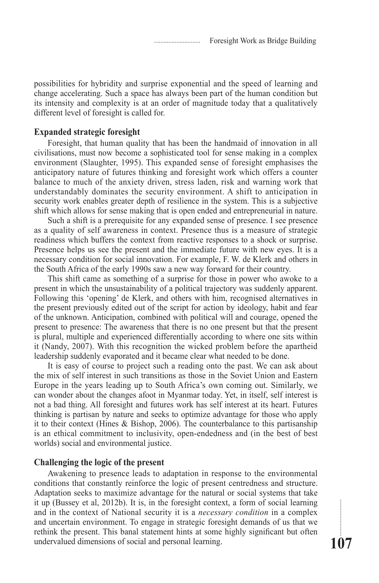possibilities for hybridity and surprise exponential and the speed of learning and change accelerating. Such a space has always been part of the human condition but its intensity and complexity is at an order of magnitude today that a qualitatively different level of foresight is called for.

#### **Expanded strategic foresight**

Foresight, that human quality that has been the handmaid of innovation in all civilisations, must now become a sophisticated tool for sense making in a complex environment (Slaughter, 1995). This expanded sense of foresight emphasises the anticipatory nature of futures thinking and foresight work which offers a counter balance to much of the anxiety driven, stress laden, risk and warning work that understandably dominates the security environment. A shift to anticipation in security work enables greater depth of resilience in the system. This is a subjective shift which allows for sense making that is open ended and entrepreneurial in nature.

Such a shift is a prerequisite for any expanded sense of presence. I see presence as a quality of self awareness in context. Presence thus is a measure of strategic readiness which buffers the context from reactive responses to a shock or surprise. Presence helps us see the present and the immediate future with new eyes. It is a necessary condition for social innovation. For example, F. W. de Klerk and others in the South Africa of the early 1990s saw a new way forward for their country.

This shift came as something of a surprise for those in power who awoke to a present in which the unsustainability of a political trajectory was suddenly apparent. Following this 'opening' de Klerk, and others with him, recognised alternatives in the present previously edited out of the script for action by ideology, habit and fear of the unknown. Anticipation, combined with political will and courage, opened the present to presence: The awareness that there is no one present but that the present is plural, multiple and experienced differentially according to where one sits within it (Nandy, 2007). With this recognition the wicked problem before the apartheid leadership suddenly evaporated and it became clear what needed to be done.

It is easy of course to project such a reading onto the past. We can ask about the mix of self interest in such transitions as those in the Soviet Union and Eastern Europe in the years leading up to South Africa's own coming out. Similarly, we can wonder about the changes afoot in Myanmar today. Yet, in itself, self interest is not a bad thing. All foresight and futures work has self interest at its heart. Futures thinking is partisan by nature and seeks to optimize advantage for those who apply it to their context (Hines & Bishop, 2006). The counterbalance to this partisanship is an ethical commitment to inclusivity, open-endedness and (in the best of best worlds) social and environmental justice.

#### **Challenging the logic of the present**

Awakening to presence leads to adaptation in response to the environmental conditions that constantly reinforce the logic of present centredness and structure. Adaptation seeks to maximize advantage for the natural or social systems that take it up (Bussey et al, 2012b). It is, in the foresight context, a form of social learning and in the context of National security it is a *necessary condition* in a complex and uncertain environment. To engage in strategic foresight demands of us that we rethink the present. This banal statement hints at some highly significant but often undervalued dimensions of social and personal learning.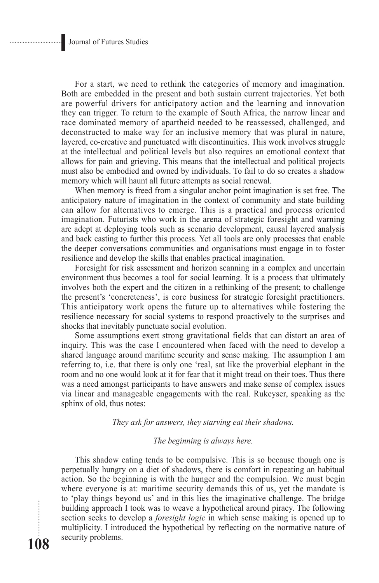**108**

For a start, we need to rethink the categories of memory and imagination. Both are embedded in the present and both sustain current trajectories. Yet both are powerful drivers for anticipatory action and the learning and innovation they can trigger. To return to the example of South Africa, the narrow linear and race dominated memory of apartheid needed to be reassessed, challenged, and deconstructed to make way for an inclusive memory that was plural in nature, layered, co-creative and punctuated with discontinuities. This work involves struggle at the intellectual and political levels but also requires an emotional context that allows for pain and grieving. This means that the intellectual and political projects must also be embodied and owned by individuals. To fail to do so creates a shadow memory which will haunt all future attempts as social renewal.

When memory is freed from a singular anchor point imagination is set free. The anticipatory nature of imagination in the context of community and state building can allow for alternatives to emerge. This is a practical and process oriented imagination. Futurists who work in the arena of strategic foresight and warning are adept at deploying tools such as scenario development, causal layered analysis and back casting to further this process. Yet all tools are only processes that enable the deeper conversations communities and organisations must engage in to foster resilience and develop the skills that enables practical imagination.

Foresight for risk assessment and horizon scanning in a complex and uncertain environment thus becomes a tool for social learning. It is a process that ultimately involves both the expert and the citizen in a rethinking of the present; to challenge the present's 'concreteness', is core business for strategic foresight practitioners. This anticipatory work opens the future up to alternatives while fostering the resilience necessary for social systems to respond proactively to the surprises and shocks that inevitably punctuate social evolution.

Some assumptions exert strong gravitational fields that can distort an area of inquiry. This was the case I encountered when faced with the need to develop a shared language around maritime security and sense making. The assumption I am referring to, i.e. that there is only one 'real, sat like the proverbial elephant in the room and no one would look at it for fear that it might tread on their toes. Thus there was a need amongst participants to have answers and make sense of complex issues via linear and manageable engagements with the real. Rukeyser, speaking as the sphinx of old, thus notes:

*They ask for answers, they starving eat their shadows.*

#### *The beginning is always here.*

This shadow eating tends to be compulsive. This is so because though one is perpetually hungry on a diet of shadows, there is comfort in repeating an habitual action. So the beginning is with the hunger and the compulsion. We must begin where everyone is at: maritime security demands this of us, yet the mandate is to 'play things beyond us' and in this lies the imaginative challenge. The bridge building approach I took was to weave a hypothetical around piracy. The following section seeks to develop a *foresight logic* in which sense making is opened up to multiplicity. I introduced the hypothetical by reflecting on the normative nature of security problems.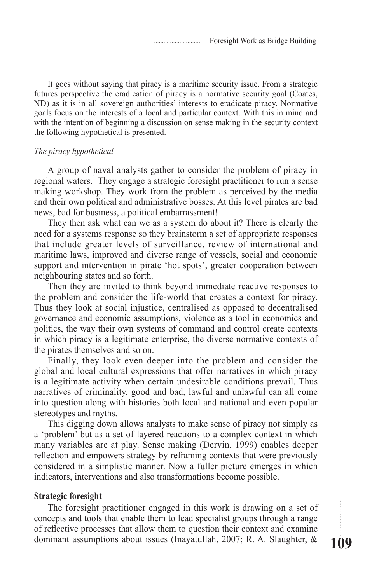It goes without saying that piracy is a maritime security issue. From a strategic futures perspective the eradication of piracy is a normative security goal (Coates, ND) as it is in all sovereign authorities' interests to eradicate piracy. Normative goals focus on the interests of a local and particular context. With this in mind and with the intention of beginning a discussion on sense making in the security context the following hypothetical is presented.

#### *The piracy hypothetical*

A group of naval analysts gather to consider the problem of piracy in regional waters.<sup>1</sup> They engage a strategic foresight practitioner to run a sense making workshop. They work from the problem as perceived by the media and their own political and administrative bosses. At this level pirates are bad news, bad for business, a political embarrassment!

They then ask what can we as a system do about it? There is clearly the need for a systems response so they brainstorm a set of appropriate responses that include greater levels of surveillance, review of international and maritime laws, improved and diverse range of vessels, social and economic support and intervention in pirate 'hot spots', greater cooperation between neighbouring states and so forth.

Then they are invited to think beyond immediate reactive responses to the problem and consider the life-world that creates a context for piracy. Thus they look at social injustice, centralised as opposed to decentralised governance and economic assumptions, violence as a tool in economics and politics, the way their own systems of command and control create contexts in which piracy is a legitimate enterprise, the diverse normative contexts of the pirates themselves and so on.

Finally, they look even deeper into the problem and consider the global and local cultural expressions that offer narratives in which piracy is a legitimate activity when certain undesirable conditions prevail. Thus narratives of criminality, good and bad, lawful and unlawful can all come into question along with histories both local and national and even popular stereotypes and myths.

This digging down allows analysts to make sense of piracy not simply as a 'problem' but as a set of layered reactions to a complex context in which many variables are at play. Sense making (Dervin, 1999) enables deeper reflection and empowers strategy by reframing contexts that were previously considered in a simplistic manner. Now a fuller picture emerges in which indicators, interventions and also transformations become possible.

#### **Strategic foresight**

The foresight practitioner engaged in this work is drawing on a set of concepts and tools that enable them to lead specialist groups through a range of reflective processes that allow them to question their context and examine dominant assumptions about issues (Inayatullah, 2007; R. A. Slaughter, &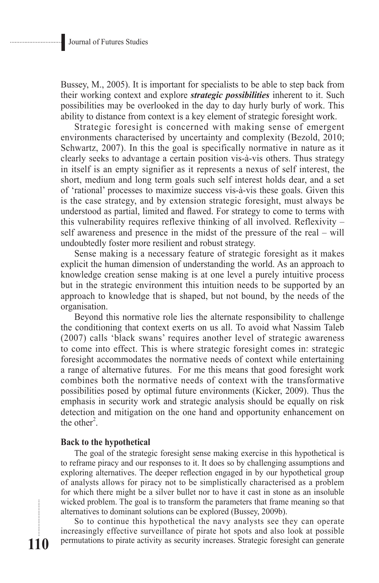Bussey, M., 2005). It is important for specialists to be able to step back from their working context and explore *strategic possibilities* inherent to it. Such possibilities may be overlooked in the day to day hurly burly of work. This ability to distance from context is a key element of strategic foresight work.

Strategic foresight is concerned with making sense of emergent environments characterised by uncertainty and complexity (Bezold, 2010; Schwartz, 2007). In this the goal is specifically normative in nature as it clearly seeks to advantage a certain position vis-à-vis others. Thus strategy in itself is an empty signifier as it represents a nexus of self interest, the short, medium and long term goals such self interest holds dear, and a set of 'rational' processes to maximize success vis-à-vis these goals. Given this is the case strategy, and by extension strategic foresight, must always be understood as partial, limited and flawed. For strategy to come to terms with this vulnerability requires reflexive thinking of all involved. Reflexivity – self awareness and presence in the midst of the pressure of the real – will undoubtedly foster more resilient and robust strategy.

Sense making is a necessary feature of strategic foresight as it makes explicit the human dimension of understanding the world. As an approach to knowledge creation sense making is at one level a purely intuitive process but in the strategic environment this intuition needs to be supported by an approach to knowledge that is shaped, but not bound, by the needs of the organisation.

Beyond this normative role lies the alternate responsibility to challenge the conditioning that context exerts on us all. To avoid what Nassim Taleb (2007) calls 'black swans' requires another level of strategic awareness to come into effect. This is where strategic foresight comes in: strategic foresight accommodates the normative needs of context while entertaining a range of alternative futures. For me this means that good foresight work combines both the normative needs of context with the transformative possibilities posed by optimal future environments (Kicker, 2009). Thus the emphasis in security work and strategic analysis should be equally on risk detection and mitigation on the one hand and opportunity enhancement on the other<sup>2</sup>.

#### **Back to the hypothetical**

The goal of the strategic foresight sense making exercise in this hypothetical is to reframe piracy and our responses to it. It does so by challenging assumptions and exploring alternatives. The deeper reflection engaged in by our hypothetical group of analysts allows for piracy not to be simplistically characterised as a problem for which there might be a silver bullet nor to have it cast in stone as an insoluble wicked problem. The goal is to transform the parameters that frame meaning so that alternatives to dominant solutions can be explored (Bussey, 2009b).

So to continue this hypothetical the navy analysts see they can operate increasingly effective surveillance of pirate hot spots and also look at possible permutations to pirate activity as security increases. Strategic foresight can generate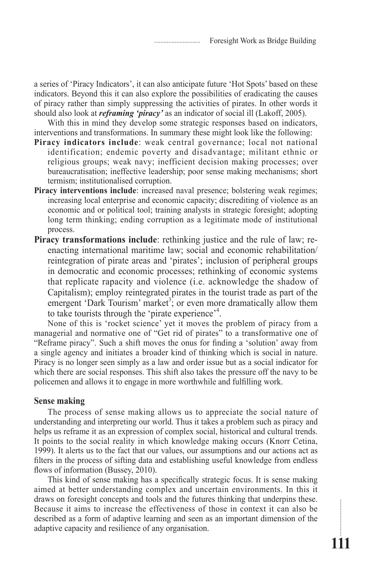a series of 'Piracy Indicators', it can also anticipate future 'Hot Spots' based on these indicators. Beyond this it can also explore the possibilities of eradicating the causes of piracy rather than simply suppressing the activities of pirates. In other words it should also look at *reframing 'piracy'* as an indicator of social ill (Lakoff, 2005).

With this in mind they develop some strategic responses based on indicators, interventions and transformations. In summary these might look like the following:

- **Piracy indicators include**: weak central governance; local not national identification; endemic poverty and disadvantage; militant ethnic or religious groups; weak navy; inefficient decision making processes; over bureaucratisation; ineffective leadership; poor sense making mechanisms; short termism; institutionalised corruption.
- **Piracy interventions include**: increased naval presence; bolstering weak regimes; increasing local enterprise and economic capacity; discrediting of violence as an economic and or political tool; training analysts in strategic foresight; adopting long term thinking; ending corruption as a legitimate mode of institutional process.
- **Piracy transformations include**: rethinking justice and the rule of law; reenacting international maritime law; social and economic rehabilitation/ reintegration of pirate areas and 'pirates'; inclusion of peripheral groups in democratic and economic processes; rethinking of economic systems that replicate rapacity and violence (i.e. acknowledge the shadow of Capitalism); employ reintegrated pirates in the tourist trade as part of the emergent 'Dark Tourism' market<sup>3</sup>; or even more dramatically allow them to take tourists through the 'pirate experience'<sup>4</sup>.

None of this is 'rocket science' yet it moves the problem of piracy from a managerial and normative one of "Get rid of pirates" to a transformative one of "Reframe piracy". Such a shift moves the onus for finding a 'solution' away from a single agency and initiates a broader kind of thinking which is social in nature. Piracy is no longer seen simply as a law and order issue but as a social indicator for which there are social responses. This shift also takes the pressure off the navy to be policemen and allows it to engage in more worthwhile and fulfilling work.

#### **Sense making**

The process of sense making allows us to appreciate the social nature of understanding and interpreting our world. Thus it takes a problem such as piracy and helps us reframe it as an expression of complex social, historical and cultural trends. It points to the social reality in which knowledge making occurs (Knorr Cetina, 1999). It alerts us to the fact that our values, our assumptions and our actions act as filters in the process of sifting data and establishing useful knowledge from endless flows of information (Bussey, 2010).

This kind of sense making has a specifically strategic focus. It is sense making aimed at better understanding complex and uncertain environments. In this it draws on foresight concepts and tools and the futures thinking that underpins these. Because it aims to increase the effectiveness of those in context it can also be described as a form of adaptive learning and seen as an important dimension of the adaptive capacity and resilience of any organisation.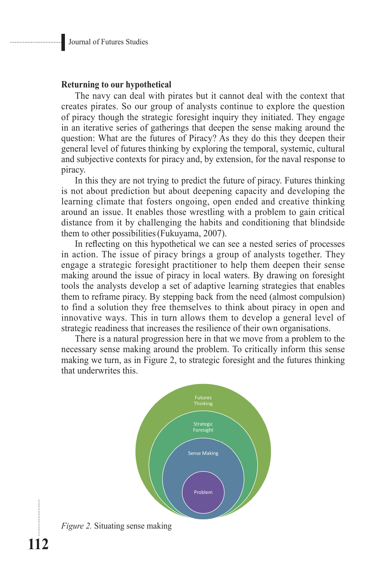#### **Returning to our hypothetical**

The navy can deal with pirates but it cannot deal with the context that creates pirates. So our group of analysts continue to explore the question of piracy though the strategic foresight inquiry they initiated. They engage in an iterative series of gatherings that deepen the sense making around the question: What are the futures of Piracy? As they do this they deepen their general level of futures thinking by exploring the temporal, systemic, cultural and subjective contexts for piracy and, by extension, for the naval response to piracy.

In this they are not trying to predict the future of piracy. Futures thinking is not about prediction but about deepening capacity and developing the learning climate that fosters ongoing, open ended and creative thinking around an issue. It enables those wrestling with a problem to gain critical distance from it by challenging the habits and conditioning that blindside them to other possibilities(Fukuyama, 2007).

In reflecting on this hypothetical we can see a nested series of processes in action. The issue of piracy brings a group of analysts together. They engage a strategic foresight practitioner to help them deepen their sense making around the issue of piracy in local waters. By drawing on foresight tools the analysts develop a set of adaptive learning strategies that enables them to reframe piracy. By stepping back from the need (almost compulsion) to find a solution they free themselves to think about piracy in open and innovative ways. This in turn allows them to develop a general level of strategic readiness that increases the resilience of their own organisations.

There is a natural progression here in that we move from a problem to the necessary sense making around the problem. To critically inform this sense making we turn, as in Figure 2, to strategic foresight and the futures thinking that underwrites this.



........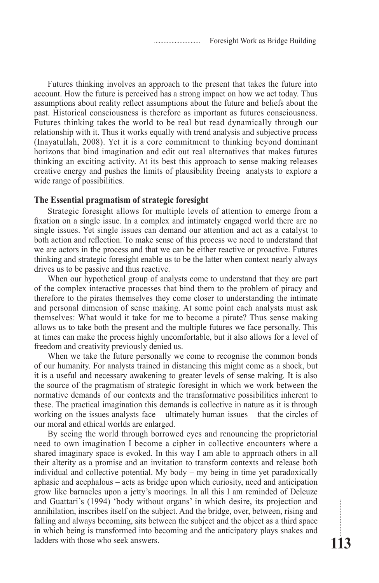Futures thinking involves an approach to the present that takes the future into account. How the future is perceived has a strong impact on how we act today. Thus assumptions about reality reflect assumptions about the future and beliefs about the past. Historical consciousness is therefore as important as futures consciousness. Futures thinking takes the world to be real but read dynamically through our relationship with it. Thus it works equally with trend analysis and subjective process (Inayatullah, 2008). Yet it is a core commitment to thinking beyond dominant horizons that bind imagination and edit out real alternatives that makes futures thinking an exciting activity. At its best this approach to sense making releases creative energy and pushes the limits of plausibility freeing analysts to explore a wide range of possibilities.

#### **The Essential pragmatism of strategic foresight**

Strategic foresight allows for multiple levels of attention to emerge from a fixation on a single issue. In a complex and intimately engaged world there are no single issues. Yet single issues can demand our attention and act as a catalyst to both action and reflection. To make sense of this process we need to understand that we are actors in the process and that we can be either reactive or proactive. Futures thinking and strategic foresight enable us to be the latter when context nearly always drives us to be passive and thus reactive.

When our hypothetical group of analysts come to understand that they are part of the complex interactive processes that bind them to the problem of piracy and therefore to the pirates themselves they come closer to understanding the intimate and personal dimension of sense making. At some point each analysts must ask themselves: What would it take for me to become a pirate? Thus sense making allows us to take both the present and the multiple futures we face personally. This at times can make the process highly uncomfortable, but it also allows for a level of freedom and creativity previously denied us.

When we take the future personally we come to recognise the common bonds of our humanity. For analysts trained in distancing this might come as a shock, but it is a useful and necessary awakening to greater levels of sense making. It is also the source of the pragmatism of strategic foresight in which we work between the normative demands of our contexts and the transformative possibilities inherent to these. The practical imagination this demands is collective in nature as it is through working on the issues analysts face – ultimately human issues – that the circles of our moral and ethical worlds are enlarged.

By seeing the world through borrowed eyes and renouncing the proprietorial need to own imagination I become a cipher in collective encounters where a shared imaginary space is evoked. In this way I am able to approach others in all their alterity as a promise and an invitation to transform contexts and release both individual and collective potential. My body – my being in time yet paradoxically aphasic and acephalous – acts as bridge upon which curiosity, need and anticipation grow like barnacles upon a jetty's moorings. In all this I am reminded of Deleuze and Guattari's (1994) 'body without organs' in which desire, its projection and annihilation, inscribes itself on the subject. And the bridge, over, between, rising and falling and always becoming, sits between the subject and the object as a third space in which being is transformed into becoming and the anticipatory plays snakes and ladders with those who seek answers.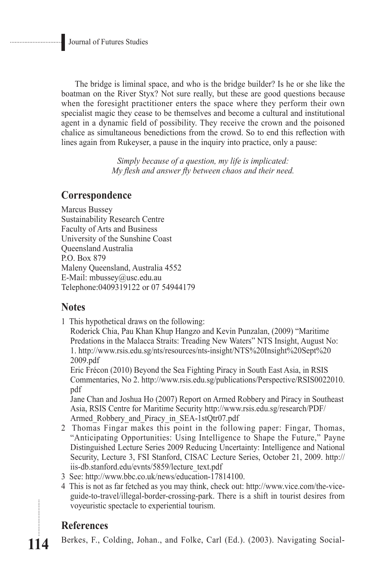The bridge is liminal space, and who is the bridge builder? Is he or she like the boatman on the River Styx? Not sure really, but these are good questions because when the foresight practitioner enters the space where they perform their own specialist magic they cease to be themselves and become a cultural and institutional agent in a dynamic field of possibility. They receive the crown and the poisoned chalice as simultaneous benedictions from the crowd. So to end this reflection with lines again from Rukeyser, a pause in the inquiry into practice, only a pause:

> *Simply because of a question, my life is implicated: My flesh and answer fly between chaos and their need.*

## **Correspondence**

Marcus Bussey Sustainability Research Centre Faculty of Arts and Business University of the Sunshine Coast Queensland Australia P.O. Box 879 Maleny Queensland, Australia 4552 E-Mail: mbussey@usc.edu.au Telephone:0409319122 or 07 54944179

### **Notes**

1 This hypothetical draws on the following:

Roderick Chia, Pau Khan Khup Hangzo and Kevin Punzalan, (2009) "Maritime Predations in the Malacca Straits: Treading New Waters" NTS Insight, August No: 1. http://www.rsis.edu.sg/nts/resources/nts-insight/NTS%20Insight%20Sept%20 2009.pdf

Eric Frécon (2010) Beyond the Sea Fighting Piracy in South East Asia, in RSIS Commentaries, No 2. http://www.rsis.edu.sg/publications/Perspective/RSIS0022010. pdf

Jane Chan and Joshua Ho (2007) Report on Armed Robbery and Piracy in Southeast Asia, RSIS Centre for Maritime Security http://www.rsis.edu.sg/research/PDF/ Armed Robbery and Piracy in SEA-1stQtr07.pdf

- 2 Thomas Fingar makes this point in the following paper: Fingar, Thomas, "Anticipating Opportunities: Using Intelligence to Shape the Future," Payne Distinguished Lecture Series 2009 Reducing Uncertainty: Intelligence and National Security, Lecture 3, FSI Stanford, CISAC Lecture Series, October 21, 2009. http:// iis-db.stanford.edu/evnts/5859/lecture\_text.pdf
- 3 See: http://www.bbc.co.uk/news/education-17814100.
- 4 This is not as far fetched as you may think, check out: http://www.vice.com/the-viceguide-to-travel/illegal-border-crossing-park. There is a shift in tourist desires from voyeuristic spectacle to experiential tourism.

# **References**

**114**

Berkes, F., Colding, Johan., and Folke, Carl (Ed.). (2003). Navigating Social-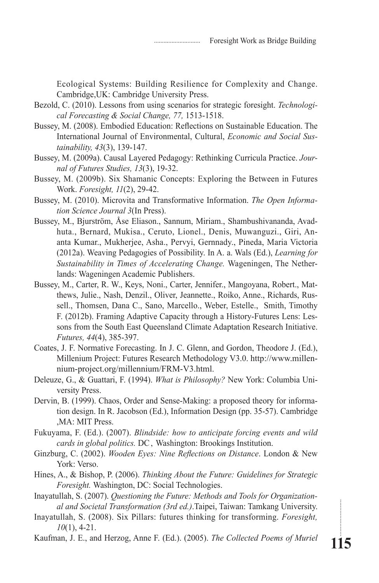Ecological Systems: Building Resilience for Complexity and Change. Cambridge,UK: Cambridge University Press.

- Bezold, C. (2010). Lessons from using scenarios for strategic foresight. *Technological Forecasting & Social Change, 77,* 1513-1518.
- Bussey, M. (2008). Embodied Education: Reflections on Sustainable Education. The International Journal of Environmental, Cultural, *Economic and Social Sustainability, 43*(3), 139-147.
- Bussey, M. (2009a). Causal Layered Pedagogy: Rethinking Curricula Practice. *Journal of Futures Studies, 13*(3), 19-32.
- Bussey, M. (2009b). Six Shamanic Concepts: Exploring the Between in Futures Work. *Foresight, 11*(2), 29-42.
- Bussey, M. (2010). Microvita and Transformative Information. *The Open Information Science Journal 3*(In Press).
- Bussey, M., Bjurström, Åse Eliason., Sannum, Miriam., Shambushivananda, Avadhuta., Bernard, Mukisa., Ceruto, Lionel., Denis, Muwanguzi., Giri, Ananta Kumar., Mukherjee, Asha., Pervyi, Gernnady., Pineda, Maria Victoria (2012a). Weaving Pedagogies of Possibility. In A. a. Wals (Ed.), *Learning for Sustainability in Times of Accelerating Change.* Wageningen, The Netherlands: Wageningen Academic Publishers.
- Bussey, M., Carter, R. W., Keys, Noni., Carter, Jennifer., Mangoyana, Robert., Matthews, Julie., Nash, Denzil., Oliver, Jeannette., Roiko, Anne., Richards, Russell., Thomsen, Dana C., Sano, Marcello., Weber, Estelle., Smith, Timothy F. (2012b). Framing Adaptive Capacity through a History-Futures Lens: Lessons from the South East Queensland Climate Adaptation Research Initiative. *Futures, 44*(4), 385-397.
- Coates, J. F. Normative Forecasting. In J. C. Glenn, and Gordon, Theodore J. (Ed.), Millenium Project: Futures Research Methodology V3.0. http://www.millennium-project.org/millennium/FRM-V3.html.
- Deleuze, G., & Guattari, F. (1994). *What is Philosophy?* New York: Columbia University Press.
- Dervin, B. (1999). Chaos, Order and Sense-Making: a proposed theory for information design. In R. Jacobson (Ed.), Information Design (pp. 35-57). Cambridge ,MA: MIT Press.
- Fukuyama, F. (Ed.). (2007). *Blindside: how to anticipate forcing events and wild cards in global politics.* DC, Washington: Brookings Institution.
- Ginzburg, C. (2002). *Wooden Eyes: Nine Reflections on Distance*. London & New York: Verso.
- Hines, A., & Bishop, P. (2006). *Thinking About the Future: Guidelines for Strategic Foresight.* Washington, DC: Social Technologies.
- Inayatullah, S. (2007). *Questioning the Future: Methods and Tools for Organizational and Societal Transformation (3rd ed.)*.Taipei, Taiwan: Tamkang University.
- Inayatullah, S. (2008). Six Pillars: futures thinking for transforming. *Foresight, 10*(1), 4-21.
- Kaufman, J. E., and Herzog, Anne F. (Ed.). (2005). *The Collected Poems of Muriel*